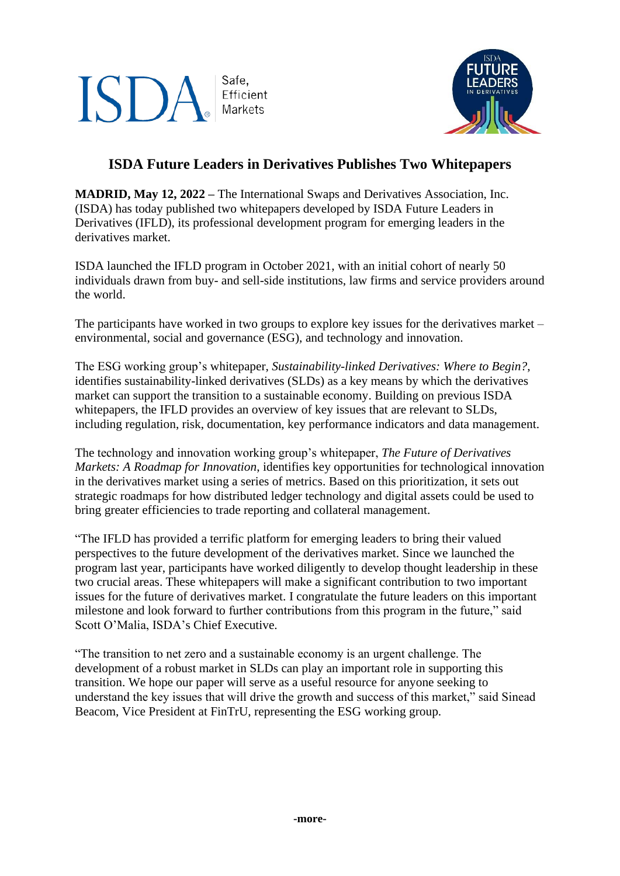## Safe, ISD/ Efficient Markets



## **ISDA Future Leaders in Derivatives Publishes Two Whitepapers**

**MADRID, May 12, 2022 –** The International Swaps and Derivatives Association, Inc. (ISDA) has today published two whitepapers developed by ISDA Future Leaders in Derivatives (IFLD), its professional development program for emerging leaders in the derivatives market.

ISDA launched the IFLD program in October 2021, with an initial cohort of nearly 50 individuals drawn from buy- and sell-side institutions, law firms and service providers around the world.

The participants have worked in two groups to explore key issues for the derivatives market – environmental, social and governance (ESG), and technology and innovation.

The ESG working group's whitepaper, *Sustainability-linked Derivatives: Where to Begin?*, identifies sustainability-linked derivatives (SLDs) as a key means by which the derivatives market can support the transition to a sustainable economy. Building on previous ISDA whitepapers, the IFLD provides an overview of key issues that are relevant to SLDs, including regulation, risk, documentation, key performance indicators and data management.

The technology and innovation working group's whitepaper, *The Future of Derivatives Markets: A Roadmap for Innovation*, identifies key opportunities for technological innovation in the derivatives market using a series of metrics. Based on this prioritization, it sets out strategic roadmaps for how distributed ledger technology and digital assets could be used to bring greater efficiencies to trade reporting and collateral management.

"The IFLD has provided a terrific platform for emerging leaders to bring their valued perspectives to the future development of the derivatives market. Since we launched the program last year, participants have worked diligently to develop thought leadership in these two crucial areas. These whitepapers will make a significant contribution to two important issues for the future of derivatives market. I congratulate the future leaders on this important milestone and look forward to further contributions from this program in the future," said Scott O'Malia, ISDA's Chief Executive.

"The transition to net zero and a sustainable economy is an urgent challenge. The development of a robust market in SLDs can play an important role in supporting this transition. We hope our paper will serve as a useful resource for anyone seeking to understand the key issues that will drive the growth and success of this market," said Sinead Beacom, Vice President at FinTrU, representing the ESG working group.